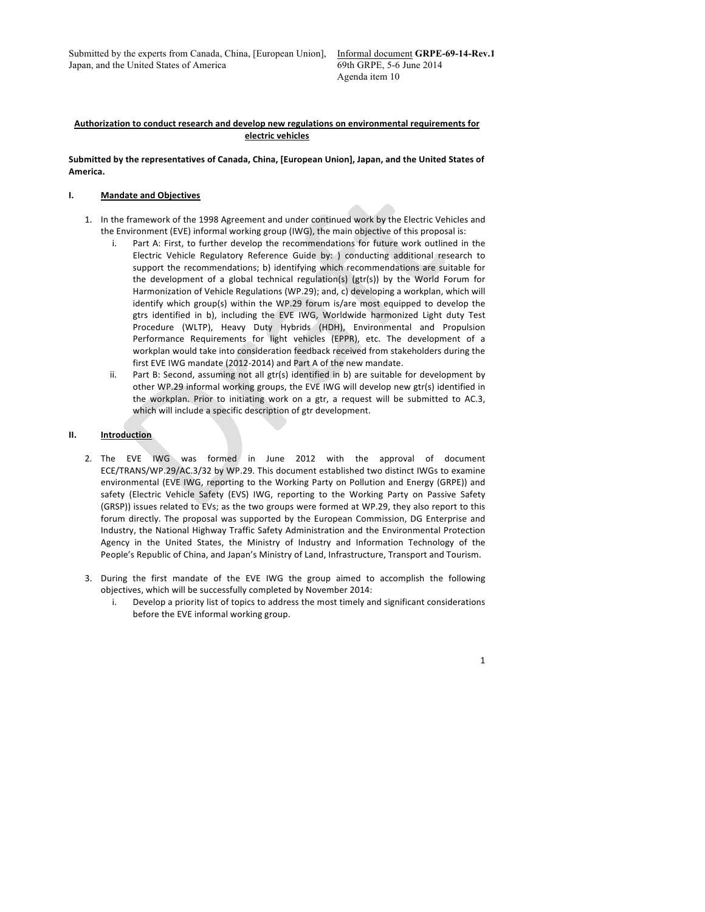Submitted by the experts from Canada, China, [European Union], Japan, and the United States of America

# **Authorization to conduct research and develop new regulations on environmental requirements for electric vehicles**

#### Submitted by the representatives of Canada, China, [European Union], Japan, and the United States of **America.**

# **I. Mandate and Objectives**

- 1. In the framework of the 1998 Agreement and under continued work by the Electric Vehicles and the Environment (EVE) informal working group (IWG), the main objective of this proposal is:
	- i. Part A: First, to further develop the recommendations for future work outlined in the Electric Vehicle Regulatory Reference Guide by: ) conducting additional research to support the recommendations; b) identifying which recommendations are suitable for the development of a global technical regulation(s) ( $gr(s)$ ) by the World Forum for Harmonization of Vehicle Regulations (WP.29); and, c) developing a workplan, which will identify which group(s) within the WP.29 forum is/are most equipped to develop the gtrs identified in b), including the EVE IWG, Worldwide harmonized Light duty Test Procedure (WLTP), Heavy Duty Hybrids (HDH), Environmental and Propulsion Performance Requirements for light vehicles (EPPR), etc. The development of a workplan would take into consideration feedback received from stakeholders during the first EVE IWG mandate (2012-2014) and Part A of the new mandate.
	- ii. Part B: Second, assuming not all gtr(s) identified in b) are suitable for development by other WP.29 informal working groups, the EVE IWG will develop new gtr(s) identified in the workplan. Prior to initiating work on a gtr, a request will be submitted to AC.3, which will include a specific description of gtr development.

# **II. Introduction**

- 2. The EVE IWG was formed in June 2012 with the approval of document ECE/TRANS/WP.29/AC.3/32 by WP.29. This document established two distinct IWGs to examine environmental (EVE IWG, reporting to the Working Party on Pollution and Energy (GRPE)) and safety (Electric Vehicle Safety (EVS) IWG, reporting to the Working Party on Passive Safety (GRSP)) issues related to EVs; as the two groups were formed at WP.29, they also report to this forum directly. The proposal was supported by the European Commission, DG Enterprise and Industry, the National Highway Traffic Safety Administration and the Environmental Protection Agency in the United States, the Ministry of Industry and Information Technology of the People's Republic of China, and Japan's Ministry of Land, Infrastructure, Transport and Tourism.
- 3. During the first mandate of the EVE IWG the group aimed to accomplish the following objectives, which will be successfully completed by November 2014:
	- i. Develop a priority list of topics to address the most timely and significant considerations before the EVE informal working group.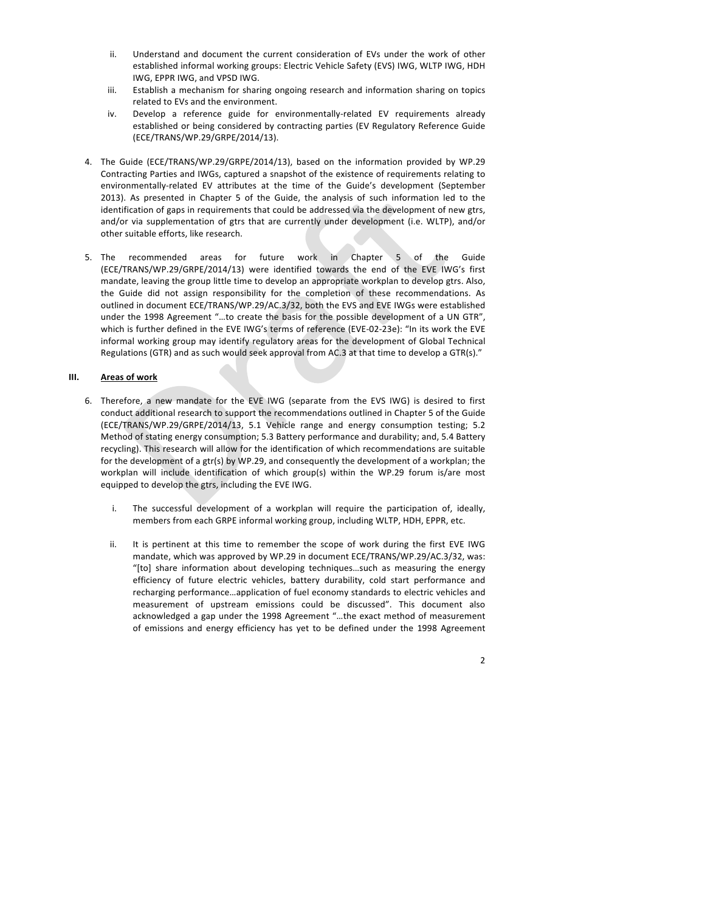- ii. Understand and document the current consideration of EVs under the work of other established informal working groups: Electric Vehicle Safety (EVS) IWG, WLTP IWG, HDH IWG, EPPR IWG, and VPSD IWG.
- iii. Establish a mechanism for sharing ongoing research and information sharing on topics related to EVs and the environment.
- iv. Develop a reference guide for environmentally-related EV requirements already established or being considered by contracting parties (EV Regulatory Reference Guide (ECE/TRANS/WP.29/GRPE/2014/13).
- 4. The Guide (ECE/TRANS/WP.29/GRPE/2014/13), based on the information provided by WP.29 Contracting Parties and IWGs, captured a snapshot of the existence of requirements relating to environmentally-related EV attributes at the time of the Guide's development (September 2013). As presented in Chapter 5 of the Guide, the analysis of such information led to the identification of gaps in requirements that could be addressed via the development of new gtrs, and/or via supplementation of gtrs that are currently under development (i.e. WLTP), and/or other suitable efforts, like research.
- 5. The recommended areas for future work in Chapter 5 of the Guide (ECE/TRANS/WP.29/GRPE/2014/13) were identified towards the end of the EVE IWG's first mandate, leaving the group little time to develop an appropriate workplan to develop gtrs. Also, the Guide did not assign responsibility for the completion of these recommendations. As outlined in document ECE/TRANS/WP.29/AC.3/32, both the EVS and EVE IWGs were established under the 1998 Agreement "...to create the basis for the possible development of a UN GTR", which is further defined in the EVE IWG's terms of reference (EVE-02-23e): "In its work the EVE informal working group may identify regulatory areas for the development of Global Technical Regulations (GTR) and as such would seek approval from AC.3 at that time to develop a GTR(s)."

# **III. Areas of work**

- 6. Therefore, a new mandate for the EVE IWG (separate from the EVS IWG) is desired to first conduct additional research to support the recommendations outlined in Chapter 5 of the Guide (ECE/TRANS/WP.29/GRPE/2014/13, 5.1 Vehicle range and energy consumption testing; 5.2 Method of stating energy consumption; 5.3 Battery performance and durability; and, 5.4 Battery recycling). This research will allow for the identification of which recommendations are suitable for the development of a gtr(s) by WP.29, and consequently the development of a workplan; the workplan will include identification of which group(s) within the WP.29 forum is/are most equipped to develop the gtrs, including the EVE IWG.
	- i. The successful development of a workplan will require the participation of, ideally, members from each GRPE informal working group, including WLTP, HDH, EPPR, etc.
	- ii. It is pertinent at this time to remember the scope of work during the first EVE IWG mandate, which was approved by WP.29 in document ECE/TRANS/WP.29/AC.3/32, was: "[to] share information about developing techniques...such as measuring the energy efficiency of future electric vehicles, battery durability, cold start performance and recharging performance...application of fuel economy standards to electric vehicles and measurement of upstream emissions could be discussed". This document also acknowledged a gap under the 1998 Agreement "...the exact method of measurement of emissions and energy efficiency has yet to be defined under the 1998 Agreement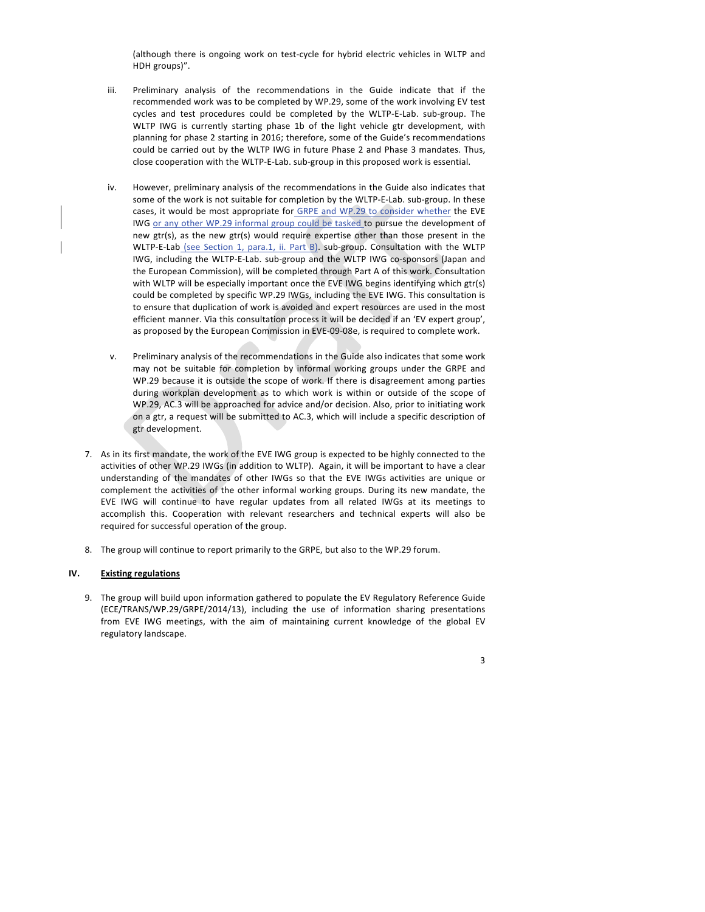(although there is ongoing work on test-cycle for hybrid electric vehicles in WLTP and HDH groups)".

- iii. Preliminary analysis of the recommendations in the Guide indicate that if the recommended work was to be completed by WP.29, some of the work involving EV test cycles and test procedures could be completed by the WLTP-E-Lab. sub-group. The WLTP IWG is currently starting phase 1b of the light vehicle gtr development, with planning for phase 2 starting in 2016; therefore, some of the Guide's recommendations could be carried out by the WLTP IWG in future Phase 2 and Phase 3 mandates. Thus, close cooperation with the WLTP-E-Lab. sub-group in this proposed work is essential.
- iv. However, preliminary analysis of the recommendations in the Guide also indicates that some of the work is not suitable for completion by the WLTP-E-Lab. sub-group. In these cases, it would be most appropriate for GRPE and WP.29 to consider whether the EVE IWG or any other WP.29 informal group could be tasked to pursue the development of new gtr(s), as the new gtr(s) would require expertise other than those present in the WLTP-E-Lab (see Section 1, para.1, ii. Part B). sub-group. Consultation with the WLTP IWG, including the WLTP-E-Lab. sub-group and the WLTP IWG co-sponsors (Japan and the European Commission), will be completed through Part A of this work. Consultation with WLTP will be especially important once the EVE IWG begins identifying which gtr(s) could be completed by specific WP.29 IWGs, including the EVE IWG. This consultation is to ensure that duplication of work is avoided and expert resources are used in the most efficient manner. Via this consultation process it will be decided if an 'EV expert group', as proposed by the European Commission in EVE-09-08e, is required to complete work.
- v. Preliminary analysis of the recommendations in the Guide also indicates that some work may not be suitable for completion by informal working groups under the GRPE and WP.29 because it is outside the scope of work. If there is disagreement among parties during workplan development as to which work is within or outside of the scope of WP.29, AC.3 will be approached for advice and/or decision. Also, prior to initiating work on a gtr, a request will be submitted to AC.3, which will include a specific description of gtr development.
- 7. As in its first mandate, the work of the EVE IWG group is expected to be highly connected to the activities of other WP.29 IWGs (in addition to WLTP). Again, it will be important to have a clear understanding of the mandates of other IWGs so that the EVE IWGs activities are unique or complement the activities of the other informal working groups. During its new mandate, the EVE IWG will continue to have regular updates from all related IWGs at its meetings to accomplish this. Cooperation with relevant researchers and technical experts will also be required for successful operation of the group.
- 8. The group will continue to report primarily to the GRPE, but also to the WP.29 forum.

#### **IV. Existing regulations**

9. The group will build upon information gathered to populate the EV Regulatory Reference Guide (ECE/TRANS/WP.29/GRPE/2014/13), including the use of information sharing presentations from EVE IWG meetings, with the aim of maintaining current knowledge of the global EV regulatory landscape.